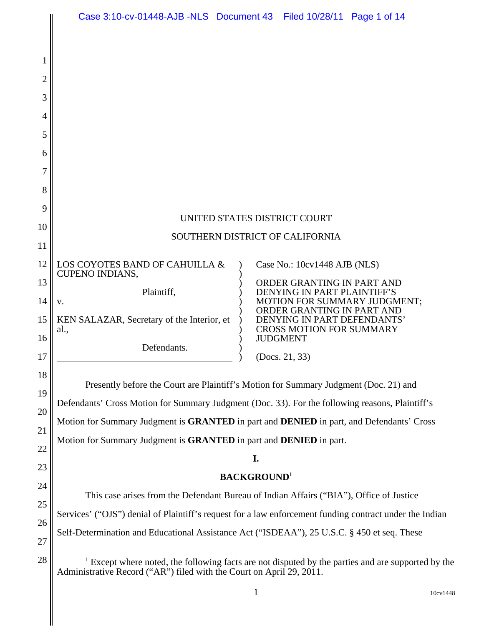|                                                                                                                                                                | Case 3:10-cv-01448-AJB -NLS  Document 43  Filed 10/28/11  Page 1 of 14                                                                                                       |                                                                                                                                                                                                              |                              |  |
|----------------------------------------------------------------------------------------------------------------------------------------------------------------|------------------------------------------------------------------------------------------------------------------------------------------------------------------------------|--------------------------------------------------------------------------------------------------------------------------------------------------------------------------------------------------------------|------------------------------|--|
|                                                                                                                                                                |                                                                                                                                                                              |                                                                                                                                                                                                              |                              |  |
|                                                                                                                                                                |                                                                                                                                                                              |                                                                                                                                                                                                              |                              |  |
|                                                                                                                                                                |                                                                                                                                                                              |                                                                                                                                                                                                              |                              |  |
|                                                                                                                                                                |                                                                                                                                                                              |                                                                                                                                                                                                              |                              |  |
|                                                                                                                                                                |                                                                                                                                                                              |                                                                                                                                                                                                              |                              |  |
|                                                                                                                                                                |                                                                                                                                                                              |                                                                                                                                                                                                              |                              |  |
|                                                                                                                                                                |                                                                                                                                                                              |                                                                                                                                                                                                              |                              |  |
|                                                                                                                                                                |                                                                                                                                                                              |                                                                                                                                                                                                              |                              |  |
|                                                                                                                                                                | UNITED STATES DISTRICT COURT                                                                                                                                                 |                                                                                                                                                                                                              |                              |  |
|                                                                                                                                                                | SOUTHERN DISTRICT OF CALIFORNIA                                                                                                                                              |                                                                                                                                                                                                              |                              |  |
|                                                                                                                                                                | LOS COYOTES BAND OF CAHUILLA &<br><b>CUPENO INDIANS,</b>                                                                                                                     |                                                                                                                                                                                                              | Case No.: 10cv1448 AJB (NLS) |  |
| V.                                                                                                                                                             | Plaintiff,                                                                                                                                                                   | ORDER GRANTING IN PART AND<br>DENYING IN PART PLAINTIFF'S<br>MOTION FOR SUMMARY JUDGMENT;<br>ORDER GRANTING IN PART AND<br>DENYING IN PART DEFENDANTS'<br><b>CROSS MOTION FOR SUMMARY</b><br><b>JUDGMENT</b> |                              |  |
| al.,                                                                                                                                                           | KEN SALAZAR, Secretary of the Interior, et                                                                                                                                   |                                                                                                                                                                                                              |                              |  |
|                                                                                                                                                                | Defendants.                                                                                                                                                                  |                                                                                                                                                                                                              | (Docs. 21, 33)               |  |
|                                                                                                                                                                | Presently before the Court are Plaintiff's Motion for Summary Judgment (Doc. 21) and                                                                                         |                                                                                                                                                                                                              |                              |  |
| Defendants' Cross Motion for Summary Judgment (Doc. 33). For the following reasons, Plaintiff's                                                                |                                                                                                                                                                              |                                                                                                                                                                                                              |                              |  |
| Motion for Summary Judgment is GRANTED in part and DENIED in part, and Defendants' Cross<br>Motion for Summary Judgment is GRANTED in part and DENIED in part. |                                                                                                                                                                              |                                                                                                                                                                                                              |                              |  |
|                                                                                                                                                                |                                                                                                                                                                              |                                                                                                                                                                                                              |                              |  |
| 23<br><b>BACKGROUND</b> <sup>1</sup><br>24                                                                                                                     |                                                                                                                                                                              |                                                                                                                                                                                                              |                              |  |
| This case arises from the Defendant Bureau of Indian Affairs ("BIA"), Office of Justice                                                                        |                                                                                                                                                                              |                                                                                                                                                                                                              |                              |  |
| Services' ("OJS") denial of Plaintiff's request for a law enforcement funding contract under the Indian                                                        |                                                                                                                                                                              |                                                                                                                                                                                                              |                              |  |
| 26<br>Self-Determination and Educational Assistance Act ("ISDEAA"), 25 U.S.C. § 450 et seq. These<br>27                                                        |                                                                                                                                                                              |                                                                                                                                                                                                              |                              |  |
|                                                                                                                                                                | $1$ Except where noted, the following facts are not disputed by the parties and are supported by the<br>Administrative Record ("AR") filed with the Court on April 29, 2011. |                                                                                                                                                                                                              |                              |  |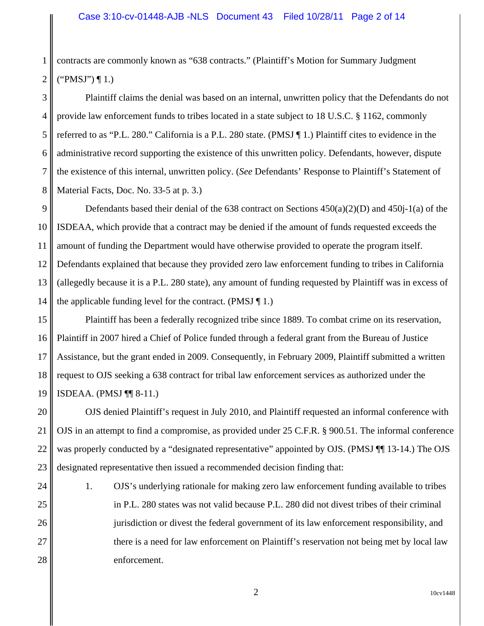1 2 contracts are commonly known as "638 contracts." (Plaintiff's Motion for Summary Judgment  $("PMSJ") \P 1.$ 

3 4 5 6 7 8 Plaintiff claims the denial was based on an internal, unwritten policy that the Defendants do not provide law enforcement funds to tribes located in a state subject to 18 U.S.C. § 1162, commonly referred to as "P.L. 280." California is a P.L. 280 state. (PMSJ ¶ 1.) Plaintiff cites to evidence in the administrative record supporting the existence of this unwritten policy. Defendants, however, dispute the existence of this internal, unwritten policy. (*See* Defendants' Response to Plaintiff's Statement of Material Facts, Doc. No. 33-5 at p. 3.)

9 10 11 12 13 14 Defendants based their denial of the 638 contract on Sections 450(a)(2)(D) and 450j-1(a) of the ISDEAA, which provide that a contract may be denied if the amount of funds requested exceeds the amount of funding the Department would have otherwise provided to operate the program itself. Defendants explained that because they provided zero law enforcement funding to tribes in California (allegedly because it is a P.L. 280 state), any amount of funding requested by Plaintiff was in excess of the applicable funding level for the contract. (PMSJ  $\P$  1.)

15 16 17 18 19 Plaintiff has been a federally recognized tribe since 1889. To combat crime on its reservation, Plaintiff in 2007 hired a Chief of Police funded through a federal grant from the Bureau of Justice Assistance, but the grant ended in 2009. Consequently, in February 2009, Plaintiff submitted a written request to OJS seeking a 638 contract for tribal law enforcement services as authorized under the ISDEAA. (PMSJ ¶¶ 8-11.)

20 21 22 23 OJS denied Plaintiff's request in July 2010, and Plaintiff requested an informal conference with OJS in an attempt to find a compromise, as provided under 25 C.F.R. § 900.51. The informal conference was properly conducted by a "designated representative" appointed by OJS. (PMSJ ¶ 13-14.) The OJS designated representative then issued a recommended decision finding that:

24

25

26

27

28

1. OJS's underlying rationale for making zero law enforcement funding available to tribes in P.L. 280 states was not valid because P.L. 280 did not divest tribes of their criminal jurisdiction or divest the federal government of its law enforcement responsibility, and there is a need for law enforcement on Plaintiff's reservation not being met by local law enforcement.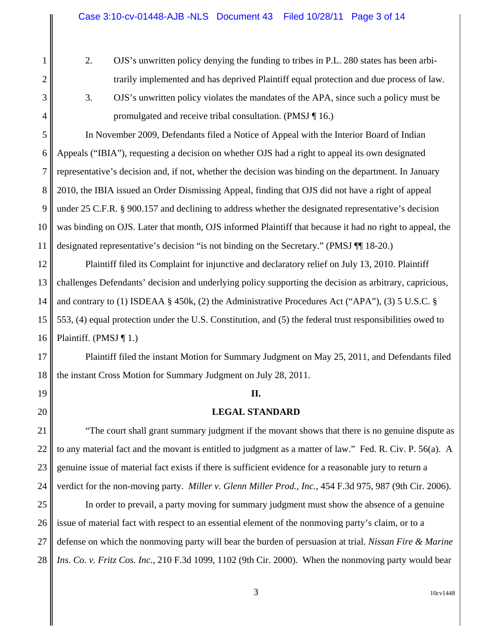1

2

3

4

6

7

8

10

11

17

18

19

20

- 2. OJS's unwritten policy denying the funding to tribes in P.L. 280 states has been arbitrarily implemented and has deprived Plaintiff equal protection and due process of law.
- 3. OJS's unwritten policy violates the mandates of the APA, since such a policy must be promulgated and receive tribal consultation. (PMSJ ¶ 16.)

5 9 In November 2009, Defendants filed a Notice of Appeal with the Interior Board of Indian Appeals ("IBIA"), requesting a decision on whether OJS had a right to appeal its own designated representative's decision and, if not, whether the decision was binding on the department. In January 2010, the IBIA issued an Order Dismissing Appeal, finding that OJS did not have a right of appeal under 25 C.F.R. § 900.157 and declining to address whether the designated representative's decision was binding on OJS. Later that month, OJS informed Plaintiff that because it had no right to appeal, the designated representative's decision "is not binding on the Secretary." (PMSJ ¶¶ 18-20.)

12 13 14 15 16 Plaintiff filed its Complaint for injunctive and declaratory relief on July 13, 2010. Plaintiff challenges Defendants' decision and underlying policy supporting the decision as arbitrary, capricious, and contrary to (1) ISDEAA § 450k, (2) the Administrative Procedures Act ("APA"), (3) 5 U.S.C. § 553, (4) equal protection under the U.S. Constitution, and (5) the federal trust responsibilities owed to Plaintiff. (PMSJ  $\P$  1.)

Plaintiff filed the instant Motion for Summary Judgment on May 25, 2011, and Defendants filed the instant Cross Motion for Summary Judgment on July 28, 2011.

#### **II.**

#### **LEGAL STANDARD**

21 22 23 24 "The court shall grant summary judgment if the movant shows that there is no genuine dispute as to any material fact and the movant is entitled to judgment as a matter of law." Fed. R. Civ. P. 56(a). A genuine issue of material fact exists if there is sufficient evidence for a reasonable jury to return a verdict for the non-moving party. *Miller v. Glenn Miller Prod., Inc.*, 454 F.3d 975, 987 (9th Cir. 2006).

25 26 27 28 In order to prevail, a party moving for summary judgment must show the absence of a genuine issue of material fact with respect to an essential element of the nonmoving party's claim, or to a defense on which the nonmoving party will bear the burden of persuasion at trial. *Nissan Fire & Marine Ins. Co. v. Fritz Cos. Inc.*, 210 F.3d 1099, 1102 (9th Cir. 2000). When the nonmoving party would bear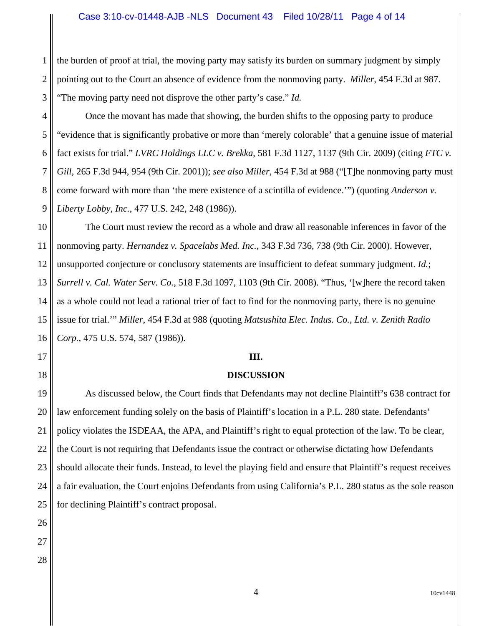1 2 3 the burden of proof at trial, the moving party may satisfy its burden on summary judgment by simply pointing out to the Court an absence of evidence from the nonmoving party. *Miller*, 454 F.3d at 987. "The moving party need not disprove the other party's case." *Id.*

4 5 6 7 8 9 Once the movant has made that showing, the burden shifts to the opposing party to produce "evidence that is significantly probative or more than 'merely colorable' that a genuine issue of material fact exists for trial." *LVRC Holdings LLC v. Brekka*, 581 F.3d 1127, 1137 (9th Cir. 2009) (citing *FTC v. Gill*, 265 F.3d 944, 954 (9th Cir. 2001)); *see also Miller*, 454 F.3d at 988 ("[T]he nonmoving party must come forward with more than 'the mere existence of a scintilla of evidence.'") (quoting *Anderson v. Liberty Lobby, Inc.*, 477 U.S. 242, 248 (1986)).

The Court must review the record as a whole and draw all reasonable inferences in favor of the nonmoving party. *Hernandez v. Spacelabs Med. Inc.*, 343 F.3d 736, 738 (9th Cir. 2000). However, unsupported conjecture or conclusory statements are insufficient to defeat summary judgment. *Id.*; *Surrell v. Cal. Water Serv. Co.*, 518 F.3d 1097, 1103 (9th Cir. 2008). "Thus, '[w]here the record taken as a whole could not lead a rational trier of fact to find for the nonmoving party, there is no genuine issue for trial.'" *Miller*, 454 F.3d at 988 (quoting *Matsushita Elec. Indus. Co., Ltd. v. Zenith Radio Corp.*, 475 U.S. 574, 587 (1986)).

#### **III.**

#### **DISCUSSION**

As discussed below, the Court finds that Defendants may not decline Plaintiff's 638 contract for law enforcement funding solely on the basis of Plaintiff's location in a P.L. 280 state. Defendants' policy violates the ISDEAA, the APA, and Plaintiff's right to equal protection of the law. To be clear, the Court is not requiring that Defendants issue the contract or otherwise dictating how Defendants should allocate their funds. Instead, to level the playing field and ensure that Plaintiff's request receives a fair evaluation, the Court enjoins Defendants from using California's P.L. 280 status as the sole reason for declining Plaintiff's contract proposal.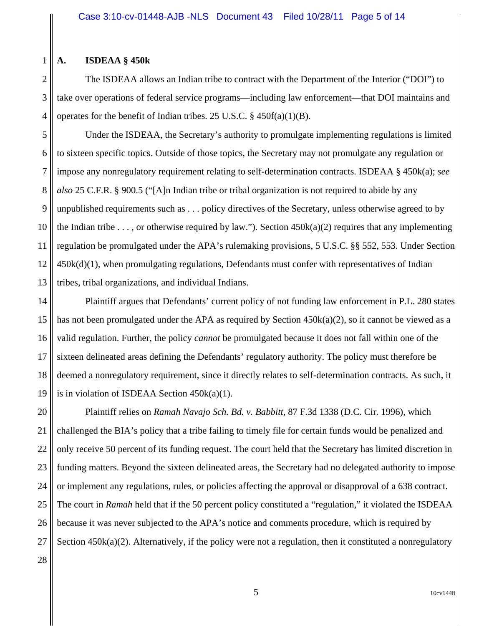#### **A. ISDEAA § 450k**

1

2

3

4

The ISDEAA allows an Indian tribe to contract with the Department of the Interior ("DOI") to take over operations of federal service programs—including law enforcement—that DOI maintains and operates for the benefit of Indian tribes. 25 U.S.C. § 450f(a)(1)(B).

5 6 7 8 9 10 11 12 13 Under the ISDEAA, the Secretary's authority to promulgate implementing regulations is limited to sixteen specific topics. Outside of those topics, the Secretary may not promulgate any regulation or impose any nonregulatory requirement relating to self-determination contracts. ISDEAA § 450k(a); *see also* 25 C.F.R. § 900.5 ("[A]n Indian tribe or tribal organization is not required to abide by any unpublished requirements such as . . . policy directives of the Secretary, unless otherwise agreed to by the Indian tribe . . . , or otherwise required by law."). Section  $450k(a)(2)$  requires that any implementing regulation be promulgated under the APA's rulemaking provisions, 5 U.S.C. §§ 552, 553. Under Section 450k(d)(1), when promulgating regulations, Defendants must confer with representatives of Indian tribes, tribal organizations, and individual Indians.

14 15 16 17 18 19 Plaintiff argues that Defendants' current policy of not funding law enforcement in P.L. 280 states has not been promulgated under the APA as required by Section  $450k(a)(2)$ , so it cannot be viewed as a valid regulation. Further, the policy *cannot* be promulgated because it does not fall within one of the sixteen delineated areas defining the Defendants' regulatory authority. The policy must therefore be deemed a nonregulatory requirement, since it directly relates to self-determination contracts. As such, it is in violation of ISDEAA Section 450k(a)(1).

20 21 22 23 24 25 26 27 Plaintiff relies on *Ramah Navajo Sch. Bd. v. Babbitt*, 87 F.3d 1338 (D.C. Cir. 1996), which challenged the BIA's policy that a tribe failing to timely file for certain funds would be penalized and only receive 50 percent of its funding request. The court held that the Secretary has limited discretion in funding matters. Beyond the sixteen delineated areas, the Secretary had no delegated authority to impose or implement any regulations, rules, or policies affecting the approval or disapproval of a 638 contract. The court in *Ramah* held that if the 50 percent policy constituted a "regulation," it violated the ISDEAA because it was never subjected to the APA's notice and comments procedure, which is required by Section 450k(a)(2). Alternatively, if the policy were not a regulation, then it constituted a nonregulatory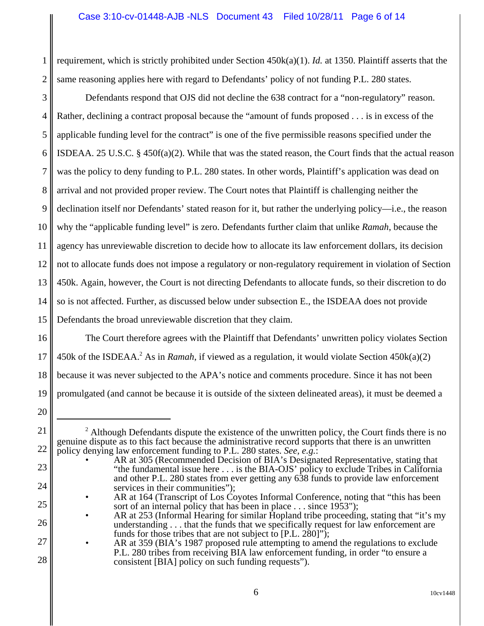1 2 requirement, which is strictly prohibited under Section 450k(a)(1). *Id.* at 1350. Plaintiff asserts that the same reasoning applies here with regard to Defendants' policy of not funding P.L. 280 states.

3 4 5 6 7 8 9 10 11 12 13 14 15 Defendants respond that OJS did not decline the 638 contract for a "non-regulatory" reason. Rather, declining a contract proposal because the "amount of funds proposed . . . is in excess of the applicable funding level for the contract" is one of the five permissible reasons specified under the ISDEAA. 25 U.S.C. § 450f(a)(2). While that was the stated reason, the Court finds that the actual reason was the policy to deny funding to P.L. 280 states. In other words, Plaintiff's application was dead on arrival and not provided proper review. The Court notes that Plaintiff is challenging neither the declination itself nor Defendants' stated reason for it, but rather the underlying policy—i.e., the reason why the "applicable funding level" is zero. Defendants further claim that unlike *Ramah*, because the agency has unreviewable discretion to decide how to allocate its law enforcement dollars, its decision not to allocate funds does not impose a regulatory or non-regulatory requirement in violation of Section 450k. Again, however, the Court is not directing Defendants to allocate funds, so their discretion to do so is not affected. Further, as discussed below under subsection E., the ISDEAA does not provide Defendants the broad unreviewable discretion that they claim.

16 17 18 19 The Court therefore agrees with the Plaintiff that Defendants' unwritten policy violates Section 450k of the ISDEAA.<sup>2</sup> As in *Ramah*, if viewed as a regulation, it would violate Section 450k(a)(2) because it was never subjected to the APA's notice and comments procedure. Since it has not been promulgated (and cannot be because it is outside of the sixteen delineated areas), it must be deemed a

20

21

22

23

24

25

26

27

 $2$  Although Defendants dispute the existence of the unwritten policy, the Court finds there is no genuine dispute as to this fact because the administrative record supports that there is an unwritten policy denying law enforcement funding to P.L. 280 states. *See, e.g.*:

AR at 305 (Recommended Decision of BIA's Designated Representative, stating that "the fundamental issue here . . . is the BIA-OJS' policy to exclude Tribes in California and other P.L. 280 states from ever getting any 638 funds to provide law enforcement services in their communities");

<sup>•</sup> AR at 164 (Transcript of Los Coyotes Informal Conference, noting that "this has been sort of an internal policy that has been in place . . . since 1953");

<sup>•</sup> AR at 253 (Informal Hearing for similar Hopland tribe proceeding, stating that "it's my understanding  $\dots$  that the funds that we specifically request for law enforcement are funds for those tribes that are not subject to [P.L. 280]");

AR at 359 (BIA's 1987 proposed rule attempting to amend the regulations to exclude P.L. 280 tribes from receiving BIA law enforcement funding, in order "to ensure a consistent [BIA] policy on such funding requests").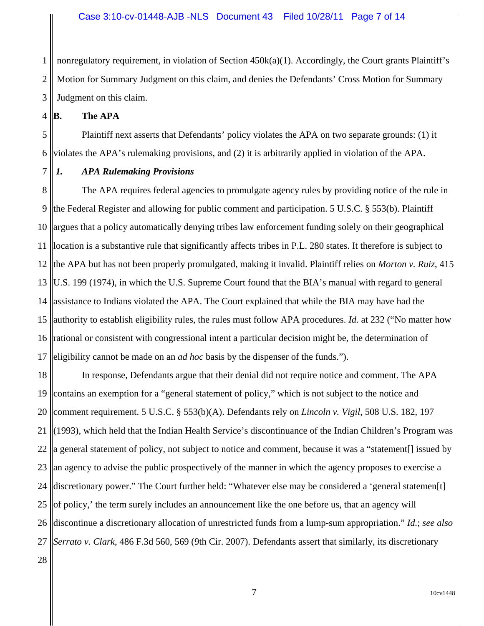1 2 3 nonregulatory requirement, in violation of Section 450k(a)(1). Accordingly, the Court grants Plaintiff's Motion for Summary Judgment on this claim, and denies the Defendants' Cross Motion for Summary Judgment on this claim.

4 **B. The APA**

5 6 Plaintiff next asserts that Defendants' policy violates the APA on two separate grounds: (1) it violates the APA's rulemaking provisions, and (2) it is arbitrarily applied in violation of the APA.

7

# *1. APA Rulemaking Provisions*

8 9 10 11 12 13 14 15 16 17 The APA requires federal agencies to promulgate agency rules by providing notice of the rule in the Federal Register and allowing for public comment and participation. 5 U.S.C. § 553(b). Plaintiff argues that a policy automatically denying tribes law enforcement funding solely on their geographical location is a substantive rule that significantly affects tribes in P.L. 280 states. It therefore is subject to the APA but has not been properly promulgated, making it invalid. Plaintiff relies on *Morton v. Ruiz*, 415 U.S. 199 (1974), in which the U.S. Supreme Court found that the BIA's manual with regard to general assistance to Indians violated the APA. The Court explained that while the BIA may have had the authority to establish eligibility rules, the rules must follow APA procedures. *Id.* at 232 ("No matter how rational or consistent with congressional intent a particular decision might be, the determination of eligibility cannot be made on an *ad hoc* basis by the dispenser of the funds.").

18 19 20 21 22 23 24 25 26 discontinue a discretionary allocation of unrestricted funds from a lump-sum appropriation." *Id.*; *see also* 27 28 In response, Defendants argue that their denial did not require notice and comment. The APA contains an exemption for a "general statement of policy," which is not subject to the notice and comment requirement. 5 U.S.C. § 553(b)(A). Defendants rely on *Lincoln v. Vigil*, 508 U.S. 182, 197 (1993), which held that the Indian Health Service's discontinuance of the Indian Children's Program was a general statement of policy, not subject to notice and comment, because it was a "statement[] issued by an agency to advise the public prospectively of the manner in which the agency proposes to exercise a discretionary power." The Court further held: "Whatever else may be considered a 'general statemen[t] of policy,' the term surely includes an announcement like the one before us, that an agency will *Serrato v. Clark*, 486 F.3d 560, 569 (9th Cir. 2007). Defendants assert that similarly, its discretionary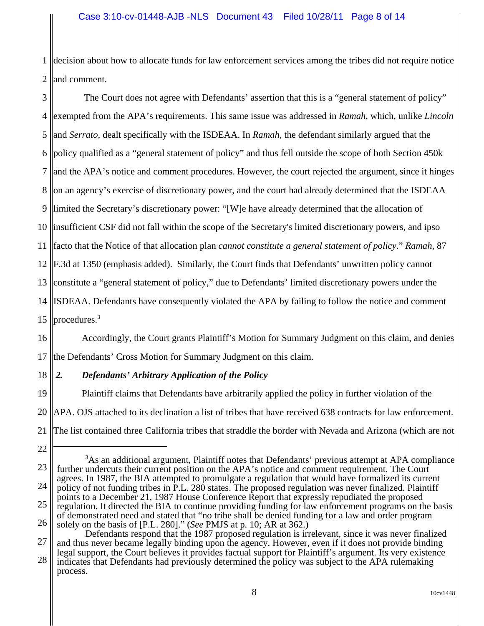1 2 decision about how to allocate funds for law enforcement services among the tribes did not require notice and comment.

3 4 5 6 7 8 9 10 11 12 13 14 15 The Court does not agree with Defendants' assertion that this is a "general statement of policy" exempted from the APA's requirements. This same issue was addressed in *Ramah*, which, unlike *Lincoln* and *Serrato*, dealt specifically with the ISDEAA. In *Ramah*, the defendant similarly argued that the policy qualified as a "general statement of policy" and thus fell outside the scope of both Section 450k and the APA's notice and comment procedures. However, the court rejected the argument, since it hinges on an agency's exercise of discretionary power, and the court had already determined that the ISDEAA limited the Secretary's discretionary power: "[W]e have already determined that the allocation of insufficient CSF did not fall within the scope of the Secretary's limited discretionary powers, and ipso facto that the Notice of that allocation plan *cannot constitute a general statement of policy*." *Ramah*, 87 F.3d at 1350 (emphasis added). Similarly, the Court finds that Defendants' unwritten policy cannot constitute a "general statement of policy," due to Defendants' limited discretionary powers under the ISDEAA. Defendants have consequently violated the APA by failing to follow the notice and comment procedures.3

16 17 Accordingly, the Court grants Plaintiff's Motion for Summary Judgment on this claim, and denies the Defendants' Cross Motion for Summary Judgment on this claim.

#### 18 *2. Defendants' Arbitrary Application of the Policy*

19 20 21 Plaintiff claims that Defendants have arbitrarily applied the policy in further violation of the APA. OJS attached to its declination a list of tribes that have received 638 contracts for law enforcement. The list contained three California tribes that straddle the border with Nevada and Arizona (which are not

27 28 Defendants respond that the 1987 proposed regulation is irrelevant, since it was never finalized and thus never became legally binding upon the agency. However, even if it does not provide binding legal support, the Court believes it provides factual support for Plaintiff's argument. Its very existence indicates that Defendants had previously determined the policy was subject to the APA rulemaking process.

<sup>22</sup>

<sup>23</sup> 24 25 26 <sup>3</sup>As an additional argument, Plaintiff notes that Defendants' previous attempt at APA compliance further undercuts their current position on the APA's notice and comment requirement. The Court agrees. In 1987, the BIA attempted to promulgate a regulation that would have formalized its current policy of not funding tribes in P.L. 280 states. The proposed regulation was never finalized. Plaintiff points to a December 21, 1987 House Conference Report that expressly repudiated the proposed regulation. It directed the BIA to continue providing funding for law enforcement programs on the basis of demonstrated need and stated that "no tribe shall be denied funding for a law and order program solely on the basis of [P.L. 280]." (*See* PMJS at p. 10; AR at 362.)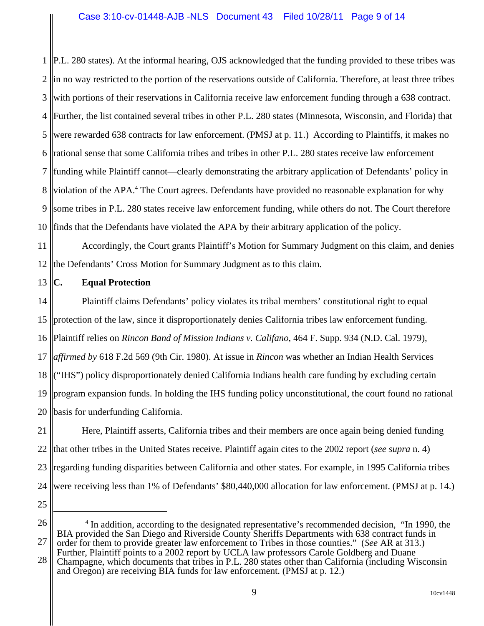### Case 3:10-cv-01448-AJB -NLS Document 43 Filed 10/28/11 Page 9 of 14

1 2 3 4 5 6 7 8 9 10 P.L. 280 states). At the informal hearing, OJS acknowledged that the funding provided to these tribes was in no way restricted to the portion of the reservations outside of California. Therefore, at least three tribes with portions of their reservations in California receive law enforcement funding through a 638 contract. Further, the list contained several tribes in other P.L. 280 states (Minnesota, Wisconsin, and Florida) that were rewarded 638 contracts for law enforcement. (PMSJ at p. 11.) According to Plaintiffs, it makes no rational sense that some California tribes and tribes in other P.L. 280 states receive law enforcement funding while Plaintiff cannot—clearly demonstrating the arbitrary application of Defendants' policy in violation of the APA.<sup>4</sup> The Court agrees. Defendants have provided no reasonable explanation for why some tribes in P.L. 280 states receive law enforcement funding, while others do not. The Court therefore finds that the Defendants have violated the APA by their arbitrary application of the policy.

11 12 Accordingly, the Court grants Plaintiff's Motion for Summary Judgment on this claim, and denies the Defendants' Cross Motion for Summary Judgment as to this claim.

13 **C. Equal Protection**

14 15 16 17 18 19 20 Plaintiff claims Defendants' policy violates its tribal members' constitutional right to equal protection of the law, since it disproportionately denies California tribes law enforcement funding. Plaintiff relies on *Rincon Band of Mission Indians v. Califano*, 464 F. Supp. 934 (N.D. Cal. 1979), *affirmed by* 618 F.2d 569 (9th Cir. 1980). At issue in *Rincon* was whether an Indian Health Services ("IHS") policy disproportionately denied California Indians health care funding by excluding certain program expansion funds. In holding the IHS funding policy unconstitutional, the court found no rational basis for underfunding California.

21 22 23 24 Here, Plaintiff asserts, California tribes and their members are once again being denied funding that other tribes in the United States receive. Plaintiff again cites to the 2002 report (*see supra* n. 4) regarding funding disparities between California and other states. For example, in 1995 California tribes were receiving less than 1% of Defendants' \$80,440,000 allocation for law enforcement. (PMSJ at p. 14.)

25

26 27 <sup>4</sup> In addition, according to the designated representative's recommended decision, "In 1990, the BIA provided the San Diego and Riverside County Sheriffs Departments with 638 contract funds in order for them to provide greater law enforcement to Tribes in those counties." (*See* AR at 313.) Further, Plaintiff points to a 2002 report by UCLA law professors Carole Goldberg and Duane

28 Champagne, which documents that tribes in P.L. 280 states other than California (including Wisconsin and Oregon) are receiving BIA funds for law enforcement. (PMSJ at p. 12.)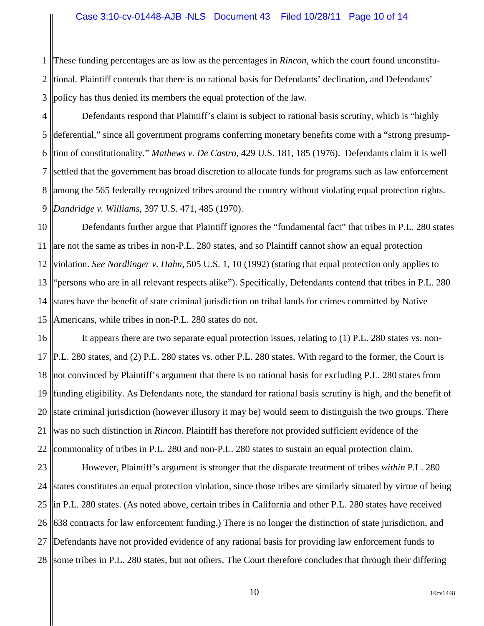1 2 3 These funding percentages are as low as the percentages in *Rincon*, which the court found unconstitutional. Plaintiff contends that there is no rational basis for Defendants' declination, and Defendants' policy has thus denied its members the equal protection of the law.

4 5 6 7 8 9 Defendants respond that Plaintiff's claim is subject to rational basis scrutiny, which is "highly deferential," since all government programs conferring monetary benefits come with a "strong presumption of constitutionality." *Mathews v. De Castro*, 429 U.S. 181, 185 (1976). Defendants claim it is well settled that the government has broad discretion to allocate funds for programs such as law enforcement among the 565 federally recognized tribes around the country without violating equal protection rights. *Dandridge v. Williams*, 397 U.S. 471, 485 (1970).

10 11 12 13 14 states have the benefit of state criminal jurisdiction on tribal lands for crimes committed by Native 15 Defendants further argue that Plaintiff ignores the "fundamental fact" that tribes in P.L. 280 states are not the same as tribes in non-P.L. 280 states, and so Plaintiff cannot show an equal protection violation. *See Nordlinger v. Hahn*, 505 U.S. 1, 10 (1992) (stating that equal protection only applies to "persons who are in all relevant respects alike"). Specifically, Defendants contend that tribes in P.L. 280 Americans, while tribes in non-P.L. 280 states do not.

16 17 18 not convinced by Plaintiff's argument that there is no rational basis for excluding P.L. 280 states from 19 20 21 22 It appears there are two separate equal protection issues, relating to (1) P.L. 280 states vs. non-P.L. 280 states, and (2) P.L. 280 states vs. other P.L. 280 states. With regard to the former, the Court is funding eligibility. As Defendants note, the standard for rational basis scrutiny is high, and the benefit of state criminal jurisdiction (however illusory it may be) would seem to distinguish the two groups. There was no such distinction in *Rincon*. Plaintiff has therefore not provided sufficient evidence of the commonality of tribes in P.L. 280 and non-P.L. 280 states to sustain an equal protection claim.

23 24 25 26 27 28 some tribes in P.L. 280 states, but not others. The Court therefore concludes that through their differing However, Plaintiff's argument is stronger that the disparate treatment of tribes *within* P.L. 280 states constitutes an equal protection violation, since those tribes are similarly situated by virtue of being in P.L. 280 states. (As noted above, certain tribes in California and other P.L. 280 states have received 638 contracts for law enforcement funding.) There is no longer the distinction of state jurisdiction, and Defendants have not provided evidence of any rational basis for providing law enforcement funds to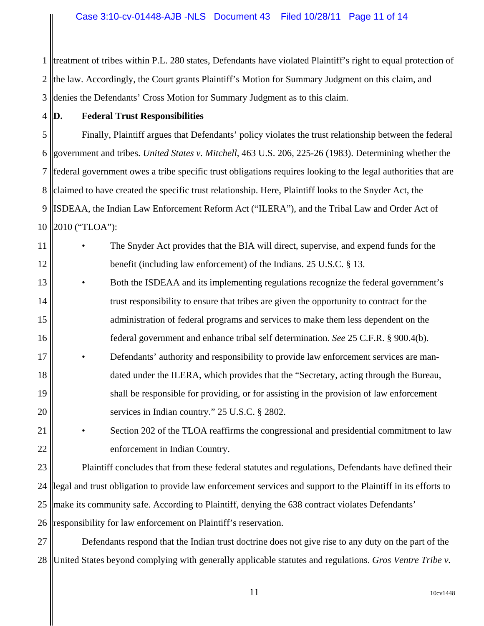1 2 3 treatment of tribes within P.L. 280 states, Defendants have violated Plaintiff's right to equal protection of the law. Accordingly, the Court grants Plaintiff's Motion for Summary Judgment on this claim, and denies the Defendants' Cross Motion for Summary Judgment as to this claim.

4

# **D. Federal Trust Responsibilities**

5 6 7 8 9 10 Finally, Plaintiff argues that Defendants' policy violates the trust relationship between the federal government and tribes. *United States v. Mitchell*, 463 U.S. 206, 225-26 (1983). Determining whether the federal government owes a tribe specific trust obligations requires looking to the legal authorities that are claimed to have created the specific trust relationship. Here, Plaintiff looks to the Snyder Act, the ISDEAA, the Indian Law Enforcement Reform Act ("ILERA"), and the Tribal Law and Order Act of 2010 ("TLOA"):

11 12 • The Snyder Act provides that the BIA will direct, supervise, and expend funds for the benefit (including law enforcement) of the Indians. 25 U.S.C. § 13.

13 14 15 16 • Both the ISDEAA and its implementing regulations recognize the federal government's trust responsibility to ensure that tribes are given the opportunity to contract for the administration of federal programs and services to make them less dependent on the federal government and enhance tribal self determination. *See* 25 C.F.R. § 900.4(b).

- 17 18 19 20 • Defendants' authority and responsibility to provide law enforcement services are mandated under the ILERA, which provides that the "Secretary, acting through the Bureau, shall be responsible for providing, or for assisting in the provision of law enforcement services in Indian country." 25 U.S.C. § 2802.
- 21 22 Section 202 of the TLOA reaffirms the congressional and presidential commitment to law enforcement in Indian Country.

23 24 25 26 Plaintiff concludes that from these federal statutes and regulations, Defendants have defined their legal and trust obligation to provide law enforcement services and support to the Plaintiff in its efforts to make its community safe. According to Plaintiff, denying the 638 contract violates Defendants' responsibility for law enforcement on Plaintiff's reservation.

27 28 Defendants respond that the Indian trust doctrine does not give rise to any duty on the part of the United States beyond complying with generally applicable statutes and regulations. *Gros Ventre Tribe v.*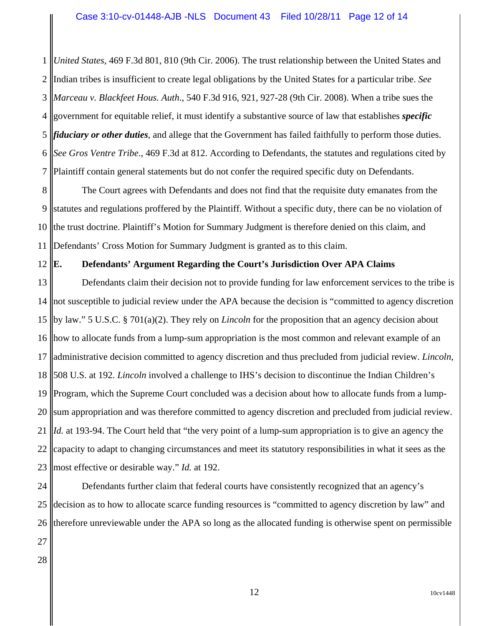1 2 3 4 government for equitable relief, it must identify a substantive source of law that establishes *specific* 5 *fiduciary or other duties*, and allege that the Government has failed faithfully to perform those duties. 6 7 *United States*, 469 F.3d 801, 810 (9th Cir. 2006). The trust relationship between the United States and Indian tribes is insufficient to create legal obligations by the United States for a particular tribe. *See Marceau v. Blackfeet Hous. Auth*., 540 F.3d 916, 921, 927-28 (9th Cir. 2008). When a tribe sues the *See Gros Ventre Tribe*., 469 F.3d at 812. According to Defendants, the statutes and regulations cited by Plaintiff contain general statements but do not confer the required specific duty on Defendants.

8 9 10 11 The Court agrees with Defendants and does not find that the requisite duty emanates from the statutes and regulations proffered by the Plaintiff. Without a specific duty, there can be no violation of the trust doctrine. Plaintiff's Motion for Summary Judgment is therefore denied on this claim, and Defendants' Cross Motion for Summary Judgment is granted as to this claim.

#### **E. Defendants' Argument Regarding the Court's Jurisdiction Over APA Claims**

13 14 15 by law." 5 U.S.C. § 701(a)(2). They rely on *Lincoln* for the proposition that an agency decision about 16 17 18 19 20 21 22 23 Defendants claim their decision not to provide funding for law enforcement services to the tribe is not susceptible to judicial review under the APA because the decision is "committed to agency discretion how to allocate funds from a lump-sum appropriation is the most common and relevant example of an administrative decision committed to agency discretion and thus precluded from judicial review. *Lincoln*, 508 U.S. at 192. *Lincoln* involved a challenge to IHS's decision to discontinue the Indian Children's Program, which the Supreme Court concluded was a decision about how to allocate funds from a lumpsum appropriation and was therefore committed to agency discretion and precluded from judicial review. *Id.* at 193-94. The Court held that "the very point of a lump-sum appropriation is to give an agency the capacity to adapt to changing circumstances and meet its statutory responsibilities in what it sees as the most effective or desirable way." *Id.* at 192.

24 25 26 Defendants further claim that federal courts have consistently recognized that an agency's decision as to how to allocate scarce funding resources is "committed to agency discretion by law" and therefore unreviewable under the APA so long as the allocated funding is otherwise spent on permissible

27

12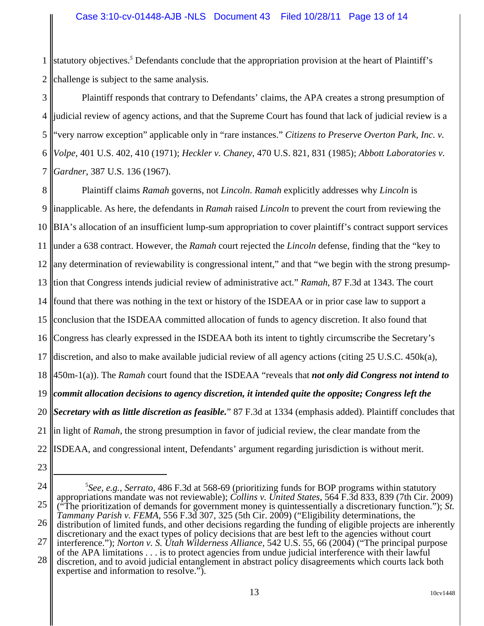1 2 statutory objectives.<sup>5</sup> Defendants conclude that the appropriation provision at the heart of Plaintiff's challenge is subject to the same analysis.

3 4 5 6 7 Plaintiff responds that contrary to Defendants' claims, the APA creates a strong presumption of judicial review of agency actions, and that the Supreme Court has found that lack of judicial review is a "very narrow exception" applicable only in "rare instances." *Citizens to Preserve Overton Park, Inc. v. Volpe*, 401 U.S. 402, 410 (1971); *Heckler v. Chaney*, 470 U.S. 821, 831 (1985); *Abbott Laboratories v. Gardner*, 387 U.S. 136 (1967).

8 9 10 11 12 13 tion that Congress intends judicial review of administrative act." *Ramah*, 87 F.3d at 1343. The court 14 15 16 17 18 19 20 21 22 Plaintiff claims *Ramah* governs, not *Lincoln*. *Ramah* explicitly addresses why *Lincoln* is inapplicable. As here, the defendants in *Ramah* raised *Lincoln* to prevent the court from reviewing the BIA's allocation of an insufficient lump-sum appropriation to cover plaintiff's contract support services under a 638 contract. However, the *Ramah* court rejected the *Lincoln* defense, finding that the "key to any determination of reviewability is congressional intent," and that "we begin with the strong presumpfound that there was nothing in the text or history of the ISDEAA or in prior case law to support a conclusion that the ISDEAA committed allocation of funds to agency discretion. It also found that Congress has clearly expressed in the ISDEAA both its intent to tightly circumscribe the Secretary's discretion, and also to make available judicial review of all agency actions (citing  $25 \text{ U.S.C. } 450 \text{k(a)}$ , 450m-1(a)). The *Ramah* court found that the ISDEAA "reveals that *not only did Congress not intend to commit allocation decisions to agency discretion, it intended quite the opposite; Congress left the Secretary with as little discretion as feasible.*" 87 F.3d at 1334 (emphasis added). Plaintiff concludes that in light of *Ramah*, the strong presumption in favor of judicial review, the clear mandate from the ISDEAA, and congressional intent, Defendants' argument regarding jurisdiction is without merit.

<sup>24</sup> 25 26 5 *See, e.g.*, *Serrato,* 486 F.3d at 568-69 (prioritizing funds for BOP programs within statutory appropriations mandate was not reviewable); *Collins v. United States*, 564 F.3d 833, 839 (7th Cir. 2009) ("The prioritization of demands for government money is quintessentially a discretionary function."); *St. Tammany Parish v. FEMA*, 556 F.3d 307, 325 (5th Cir. 2009) ("Eligibility determinations, the distribution of limited funds, and other decisions regarding the funding of eligible projects are inherently discretionary and the exact types of policy decisions that are best left to the agencies without court

<sup>27</sup> 28 interference."); *Norton v. S. Utah Wilderness Alliance,* 542 U.S. 55, 66 (2004) ("The principal purpose of the APA limitations . . . is to protect agencies from undue judicial interference with their lawful

discretion, and to avoid judicial entanglement in abstract policy disagreements which courts lack both expertise and information to resolve.").